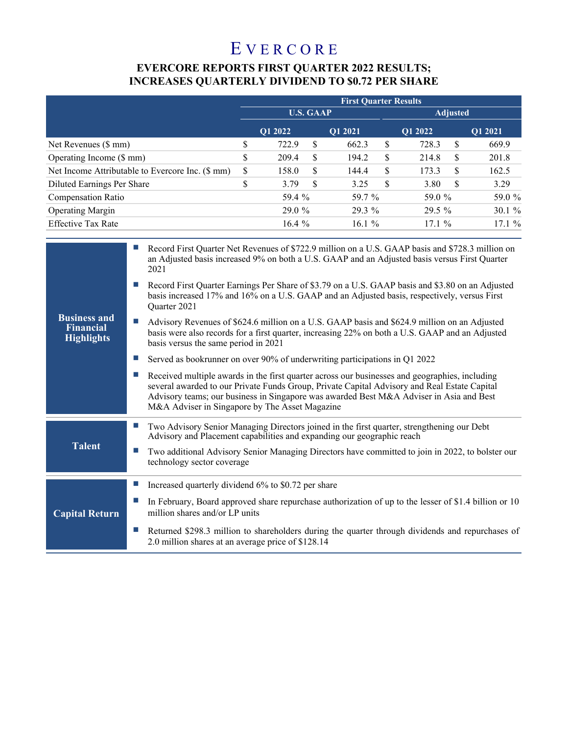# E V E R C O R E

## **EVERCORE REPORTS FIRST QUARTER 2022 RESULTS; INCREASES QUARTERLY DIVIDEND TO \$0.72 PER SHARE**

|                                                  | <b>First Quarter Results</b> |         |    |          |    |                 |    |         |  |
|--------------------------------------------------|------------------------------|---------|----|----------|----|-----------------|----|---------|--|
|                                                  | <b>U.S. GAAP</b>             |         |    |          |    | <b>Adjusted</b> |    |         |  |
|                                                  |                              | O1 2022 |    | O1 2021  |    | O1 2022         |    | O1 2021 |  |
| Net Revenues (\$ mm)                             | \$                           | 722.9   | \$ | 662.3    | S  | 728.3           | \$ | 669.9   |  |
| Operating Income (\$ mm)                         | \$                           | 209.4   | \$ | 194.2    | \$ | 214.8           | S  | 201.8   |  |
| Net Income Attributable to Evercore Inc. (\$ mm) | \$                           | 158.0   | \$ | 144.4    | S  | 173.3           | S  | 162.5   |  |
| Diluted Earnings Per Share                       | \$                           | 3.79    | S  | 3.25     | \$ | 3.80            | S  | 3.29    |  |
| <b>Compensation Ratio</b>                        |                              | 59.4 %  |    | 59.7 %   |    | 59.0 %          |    | 59.0 %  |  |
| <b>Operating Margin</b>                          |                              | 29.0 %  |    | 29.3 %   |    | 29.5 %          |    | 30.1%   |  |
| <b>Effective Tax Rate</b>                        |                              | 16.4%   |    | 16.1 $%$ |    | $17.1\%$        |    | 17.1%   |  |

|                                                              | Record First Quarter Net Revenues of \$722.9 million on a U.S. GAAP basis and \$728.3 million on<br>an Adjusted basis increased 9% on both a U.S. GAAP and an Adjusted basis versus First Quarter<br>2021                                                                                                                                   |
|--------------------------------------------------------------|---------------------------------------------------------------------------------------------------------------------------------------------------------------------------------------------------------------------------------------------------------------------------------------------------------------------------------------------|
| <b>Business and</b><br><b>Financial</b><br><b>Highlights</b> | Record First Quarter Earnings Per Share of \$3.79 on a U.S. GAAP basis and \$3.80 on an Adjusted<br>basis increased 17% and 16% on a U.S. GAAP and an Adjusted basis, respectively, versus First<br>Quarter 2021                                                                                                                            |
|                                                              | Advisory Revenues of \$624.6 million on a U.S. GAAP basis and \$624.9 million on an Adjusted<br>basis were also records for a first quarter, increasing 22% on both a U.S. GAAP and an Adjusted<br>basis versus the same period in 2021                                                                                                     |
|                                                              | Served as bookrunner on over 90% of underwriting participations in Q1 2022                                                                                                                                                                                                                                                                  |
|                                                              | Received multiple awards in the first quarter across our businesses and geographies, including<br>several awarded to our Private Funds Group, Private Capital Advisory and Real Estate Capital<br>Advisory teams; our business in Singapore was awarded Best M&A Adviser in Asia and Best<br>M&A Adviser in Singapore by The Asset Magazine |
|                                                              | Two Advisory Senior Managing Directors joined in the first quarter, strengthening our Debt<br>Advisory and Placement capabilities and expanding our geographic reach                                                                                                                                                                        |
| <b>Talent</b>                                                | Two additional Advisory Senior Managing Directors have committed to join in 2022, to bolster our<br>technology sector coverage                                                                                                                                                                                                              |
|                                                              | Increased quarterly dividend 6% to \$0.72 per share                                                                                                                                                                                                                                                                                         |
| <b>Capital Return</b>                                        | In February, Board approved share repurchase authorization of up to the lesser of \$1.4 billion or 10<br>million shares and/or LP units                                                                                                                                                                                                     |
|                                                              | Returned \$298.3 million to shareholders during the quarter through dividends and repurchases of<br>2.0 million shares at an average price of \$128.14                                                                                                                                                                                      |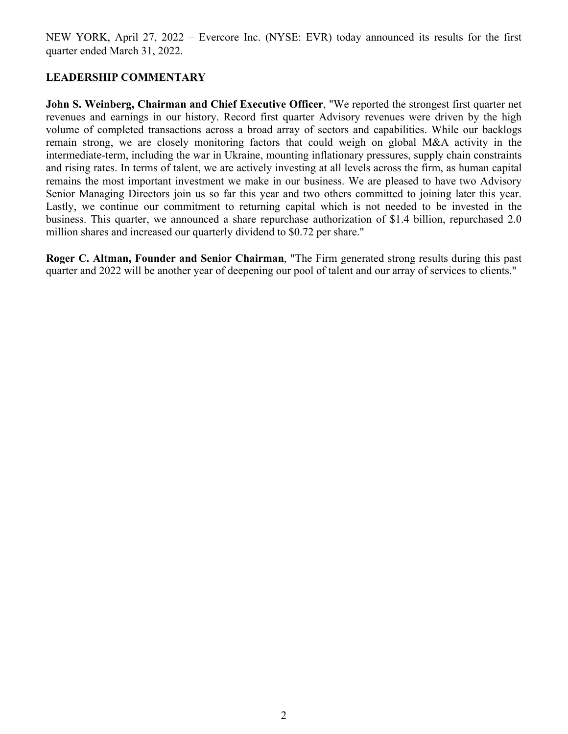NEW YORK, April 27, 2022 – Evercore Inc. (NYSE: EVR) today announced its results for the first quarter ended March 31, 2022.

## **LEADERSHIP COMMENTARY**

**John S. Weinberg, Chairman and Chief Executive Officer**, "We reported the strongest first quarter net revenues and earnings in our history. Record first quarter Advisory revenues were driven by the high volume of completed transactions across a broad array of sectors and capabilities. While our backlogs remain strong, we are closely monitoring factors that could weigh on global M&A activity in the intermediate-term, including the war in Ukraine, mounting inflationary pressures, supply chain constraints and rising rates. In terms of talent, we are actively investing at all levels across the firm, as human capital remains the most important investment we make in our business. We are pleased to have two Advisory Senior Managing Directors join us so far this year and two others committed to joining later this year. Lastly, we continue our commitment to returning capital which is not needed to be invested in the business. This quarter, we announced a share repurchase authorization of \$1.4 billion, repurchased 2.0 million shares and increased our quarterly dividend to \$0.72 per share."

**Roger C. Altman, Founder and Senior Chairman**, "The Firm generated strong results during this past quarter and 2022 will be another year of deepening our pool of talent and our array of services to clients."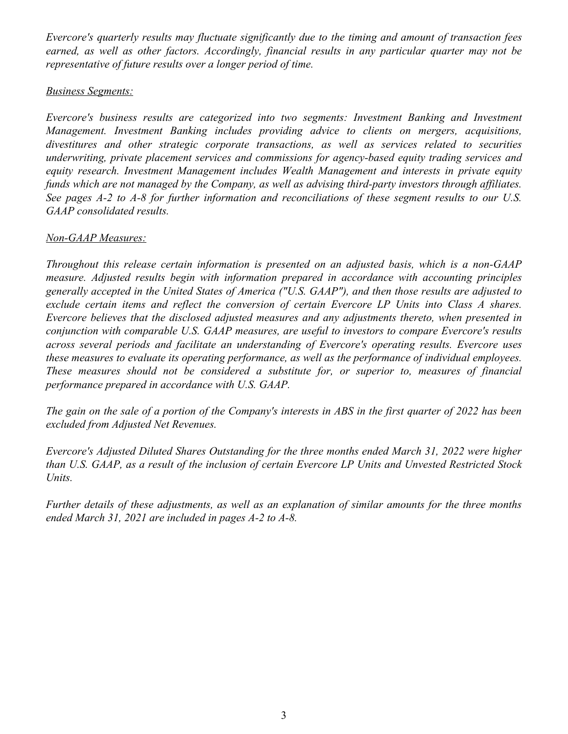*Evercore's quarterly results may fluctuate significantly due to the timing and amount of transaction fees earned, as well as other factors. Accordingly, financial results in any particular quarter may not be representative of future results over a longer period of time.*

#### *Business Segments:*

*Evercore's business results are categorized into two segments: Investment Banking and Investment Management. Investment Banking includes providing advice to clients on mergers, acquisitions, divestitures and other strategic corporate transactions, as well as services related to securities underwriting, private placement services and commissions for agency-based equity trading services and equity research. Investment Management includes Wealth Management and interests in private equity funds which are not managed by the Company, as well as advising third-party investors through affiliates. See pages A-2 to A-8 for further information and reconciliations of these segment results to our U.S. GAAP consolidated results.* 

## *Non-GAAP Measures:*

*Throughout this release certain information is presented on an adjusted basis, which is a non-GAAP measure. Adjusted results begin with information prepared in accordance with accounting principles generally accepted in the United States of America ("U.S. GAAP"), and then those results are adjusted to exclude certain items and reflect the conversion of certain Evercore LP Units into Class A shares. Evercore believes that the disclosed adjusted measures and any adjustments thereto, when presented in conjunction with comparable U.S. GAAP measures, are useful to investors to compare Evercore's results across several periods and facilitate an understanding of Evercore's operating results. Evercore uses these measures to evaluate its operating performance, as well as the performance of individual employees. These measures should not be considered a substitute for, or superior to, measures of financial performance prepared in accordance with U.S. GAAP.* 

*The gain on the sale of a portion of the Company's interests in ABS in the first quarter of 2022 has been excluded from Adjusted Net Revenues.*

*Evercore's Adjusted Diluted Shares Outstanding for the three months ended March 31, 2022 were higher than U.S. GAAP, as a result of the inclusion of certain Evercore LP Units and Unvested Restricted Stock Units.*

*Further details of these adjustments, as well as an explanation of similar amounts for the three months ended March 31, 2021 are included in pages A-2 to A-8.*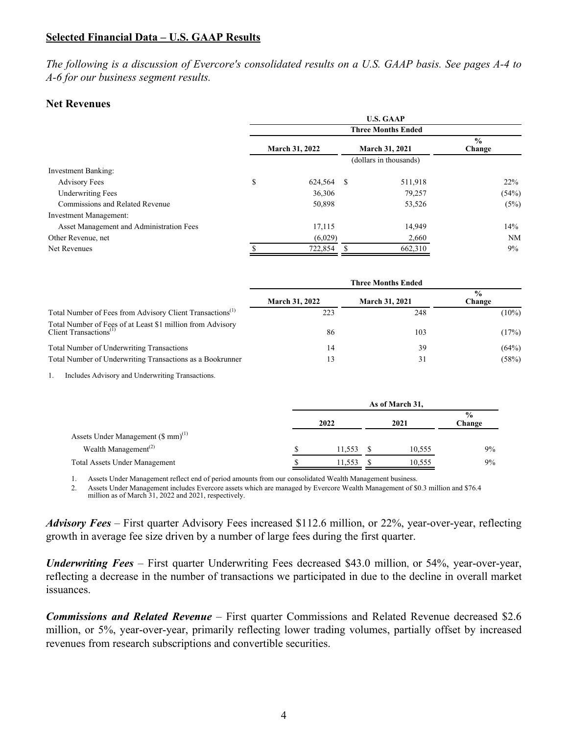#### **Selected Financial Data – U.S. GAAP Results**

*The following is a discussion of Evercore's consolidated results on a U.S. GAAP basis. See pages A-4 to A-6 for our business segment results.*

#### **Net Revenues**

|                                          | <b>U.S. GAAP</b>      |                           |                       |                        |                         |  |  |  |
|------------------------------------------|-----------------------|---------------------------|-----------------------|------------------------|-------------------------|--|--|--|
|                                          |                       | <b>Three Months Ended</b> |                       |                        |                         |  |  |  |
|                                          | <b>March 31, 2022</b> |                           | <b>March 31, 2021</b> |                        | $\frac{0}{0}$<br>Change |  |  |  |
|                                          |                       |                           |                       | (dollars in thousands) |                         |  |  |  |
| <b>Investment Banking:</b>               |                       |                           |                       |                        |                         |  |  |  |
| <b>Advisory Fees</b>                     | \$                    | 624,564 \$                |                       | 511,918                | 22%                     |  |  |  |
| <b>Underwriting Fees</b>                 |                       | 36,306                    |                       | 79,257                 | (54%)                   |  |  |  |
| Commissions and Related Revenue          |                       | 50,898                    |                       | 53,526                 | (5%)                    |  |  |  |
| <b>Investment Management:</b>            |                       |                           |                       |                        |                         |  |  |  |
| Asset Management and Administration Fees |                       | 17,115                    |                       | 14,949                 | 14%                     |  |  |  |
| Other Revenue, net                       |                       | (6,029)                   |                       | 2,660                  | NM                      |  |  |  |
| Net Revenues                             |                       | 722,854                   |                       | 662,310                | $9\%$                   |  |  |  |

|                                                                                                  | <b>Three Months Ended</b> |                       |                         |  |  |
|--------------------------------------------------------------------------------------------------|---------------------------|-----------------------|-------------------------|--|--|
|                                                                                                  | <b>March 31, 2022</b>     | <b>March 31, 2021</b> | $\frac{0}{0}$<br>Change |  |  |
| Total Number of Fees from Advisory Client Transactions <sup>(1)</sup>                            | 223                       | 248                   | $(10\%)$                |  |  |
| Total Number of Fees of at Least \$1 million from Advisory Client Transactions $\mathrm{^{(1)}}$ | 86                        | 103                   | (17%)                   |  |  |
| <b>Total Number of Underwriting Transactions</b>                                                 | 14                        | 39                    | (64%)                   |  |  |
| Total Number of Underwriting Transactions as a Bookrunner                                        | 13                        | 31                    | (58%)                   |  |  |

1. Includes Advisory and Underwriting Transactions.

|                                                | As of March 31, |  |        |                         |  |  |
|------------------------------------------------|-----------------|--|--------|-------------------------|--|--|
|                                                | 2022            |  | 2021   | $\frac{6}{9}$<br>Change |  |  |
| Assets Under Management $(\text{\$ mm})^{(1)}$ |                 |  |        |                         |  |  |
| Wealth Management <sup><math>(2)</math></sup>  | 11.553          |  | 10.555 | 9%                      |  |  |
| <b>Total Assets Under Management</b>           | 11.553          |  | 10,555 | 9%                      |  |  |

1. Assets Under Management reflect end of period amounts from our consolidated Wealth Management business.

2. Assets Under Management includes Evercore assets which are managed by Evercore Wealth Management of \$0.3 million and \$76.4 million as of March 31, 2022 and 2021, respectively.

*Advisory Fees –* First quarter Advisory Fees increased \$112.6 million, or 22%, year-over-year, reflecting growth in average fee size driven by a number of large fees during the first quarter.

*Underwriting Fees –* First quarter Underwriting Fees decreased \$43.0 million, or 54%, year-over-year, reflecting a decrease in the number of transactions we participated in due to the decline in overall market issuances.

*Commissions and Related Revenue –* First quarter Commissions and Related Revenue decreased \$2.6 million, or 5%, year-over-year, primarily reflecting lower trading volumes, partially offset by increased revenues from research subscriptions and convertible securities.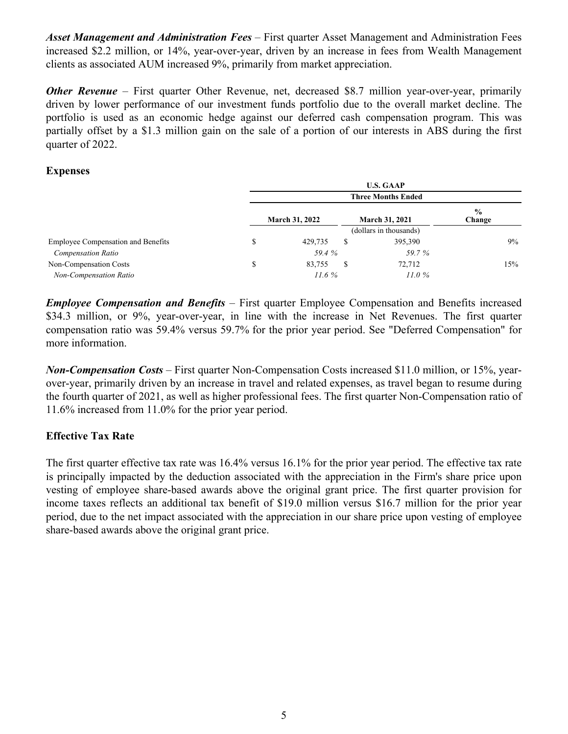*Asset Management and Administration Fees –* First quarter Asset Management and Administration Fees increased \$2.2 million, or 14%, year-over-year, driven by an increase in fees from Wealth Management clients as associated AUM increased 9%, primarily from market appreciation.

*Other Revenue* – First quarter Other Revenue, net, decreased \$8.7 million year-over-year, primarily driven by lower performance of our investment funds portfolio due to the overall market decline. The portfolio is used as an economic hedge against our deferred cash compensation program. This was partially offset by a \$1.3 million gain on the sale of a portion of our interests in ABS during the first quarter of 2022.

#### **Expenses**

|                                           | <b>U.S. GAAP</b> |                       |   |                           |                         |  |  |
|-------------------------------------------|------------------|-----------------------|---|---------------------------|-------------------------|--|--|
|                                           |                  |                       |   | <b>Three Months Ended</b> |                         |  |  |
|                                           |                  | <b>March 31, 2022</b> |   | <b>March 31, 2021</b>     | $\frac{0}{0}$<br>Change |  |  |
|                                           |                  |                       |   | (dollars in thousands)    |                         |  |  |
| <b>Employee Compensation and Benefits</b> | S                | 429.735               | S | 395,390                   | $9\%$                   |  |  |
| <b>Compensation Ratio</b>                 |                  | 59.4 %                |   | 59.7 %                    |                         |  |  |
| Non-Compensation Costs                    | S                | 83,755                | S | 72,712                    | 15%                     |  |  |
| Non-Compensation Ratio                    |                  | 11.6%                 |   | 11.0%                     |                         |  |  |

*Employee Compensation and Benefits –* First quarter Employee Compensation and Benefits increased \$34.3 million, or 9%, year-over-year, in line with the increase in Net Revenues. The first quarter compensation ratio was 59.4% versus 59.7% for the prior year period. See "Deferred Compensation" for more information.

*Non-Compensation Costs –* First quarter Non-Compensation Costs increased \$11.0 million, or 15%, yearover-year, primarily driven by an increase in travel and related expenses, as travel began to resume during the fourth quarter of 2021, as well as higher professional fees. The first quarter Non-Compensation ratio of 11.6% increased from 11.0% for the prior year period.

## **Effective Tax Rate**

The first quarter effective tax rate was 16.4% versus 16.1% for the prior year period. The effective tax rate is principally impacted by the deduction associated with the appreciation in the Firm's share price upon vesting of employee share-based awards above the original grant price. The first quarter provision for income taxes reflects an additional tax benefit of \$19.0 million versus \$16.7 million for the prior year period, due to the net impact associated with the appreciation in our share price upon vesting of employee share-based awards above the original grant price.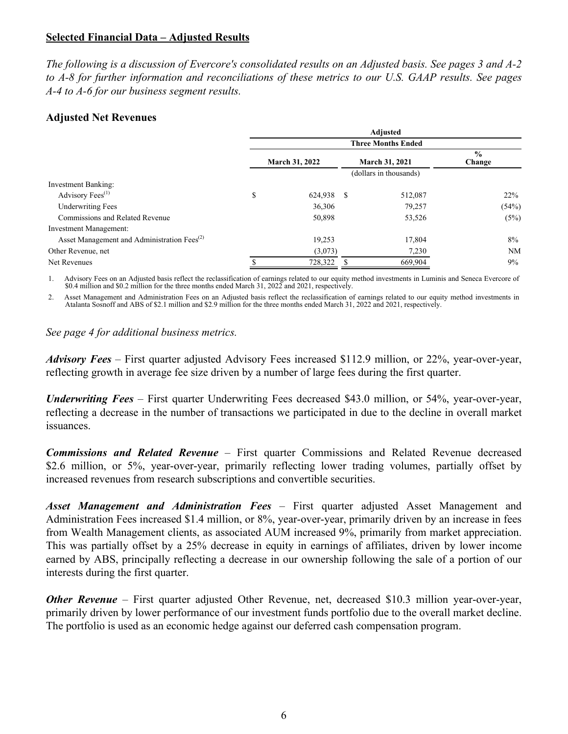#### **Selected Financial Data – Adjusted Results**

*The following is a discussion of Evercore's consolidated results on an Adjusted basis. See pages 3 and A-2 to A-8 for further information and reconciliations of these metrics to our U.S. GAAP results. See pages A-4 to A-6 for our business segment results.*

#### **Adjusted Net Revenues**

|                                                         | <b>Adjusted</b>           |            |                       |                        |                         |  |  |  |
|---------------------------------------------------------|---------------------------|------------|-----------------------|------------------------|-------------------------|--|--|--|
|                                                         | <b>Three Months Ended</b> |            |                       |                        |                         |  |  |  |
|                                                         | <b>March 31, 2022</b>     |            | <b>March 31, 2021</b> |                        | $\frac{0}{0}$<br>Change |  |  |  |
|                                                         |                           |            |                       | (dollars in thousands) |                         |  |  |  |
| Investment Banking:                                     |                           |            |                       |                        |                         |  |  |  |
| Advisory Fees <sup>(1)</sup>                            | \$                        | 624,938 \$ |                       | 512,087                | 22%                     |  |  |  |
| <b>Underwriting Fees</b>                                |                           | 36,306     |                       | 79,257                 | (54%)                   |  |  |  |
| Commissions and Related Revenue                         |                           | 50,898     |                       | 53,526                 | (5%)                    |  |  |  |
| <b>Investment Management:</b>                           |                           |            |                       |                        |                         |  |  |  |
| Asset Management and Administration Fees <sup>(2)</sup> |                           | 19,253     |                       | 17,804                 | $8\%$                   |  |  |  |
| Other Revenue, net                                      |                           | (3,073)    |                       | 7,230                  | NM                      |  |  |  |
| Net Revenues                                            |                           | 728,322    |                       | 669,904                | $9\%$                   |  |  |  |

1. Advisory Fees on an Adjusted basis reflect the reclassification of earnings related to our equity method investments in Luminis and Seneca Evercore of \$0.4 million and \$0.2 million for the three months ended March 31, 2022 and 2021, respectively.

2. Asset Management and Administration Fees on an Adjusted basis reflect the reclassification of earnings related to our equity method investments in Atalanta Sosnoff and ABS of \$2.1 million and \$2.9 million for the three months ended March 31, 2022 and 2021, respectively.

*See page 4 for additional business metrics.*

*Advisory Fees –* First quarter adjusted Advisory Fees increased \$112.9 million, or 22%, year-over-year, reflecting growth in average fee size driven by a number of large fees during the first quarter.

*Underwriting Fees –* First quarter Underwriting Fees decreased \$43.0 million, or 54%, year-over-year, reflecting a decrease in the number of transactions we participated in due to the decline in overall market issuances.

*Commissions and Related Revenue –* First quarter Commissions and Related Revenue decreased \$2.6 million, or 5%, year-over-year, primarily reflecting lower trading volumes, partially offset by increased revenues from research subscriptions and convertible securities.

*Asset Management and Administration Fees –* First quarter adjusted Asset Management and Administration Fees increased \$1.4 million, or 8%, year-over-year, primarily driven by an increase in fees from Wealth Management clients, as associated AUM increased 9%, primarily from market appreciation. This was partially offset by a 25% decrease in equity in earnings of affiliates, driven by lower income earned by ABS, principally reflecting a decrease in our ownership following the sale of a portion of our interests during the first quarter.

*Other Revenue* – First quarter adjusted Other Revenue, net, decreased \$10.3 million year-over-year, primarily driven by lower performance of our investment funds portfolio due to the overall market decline. The portfolio is used as an economic hedge against our deferred cash compensation program.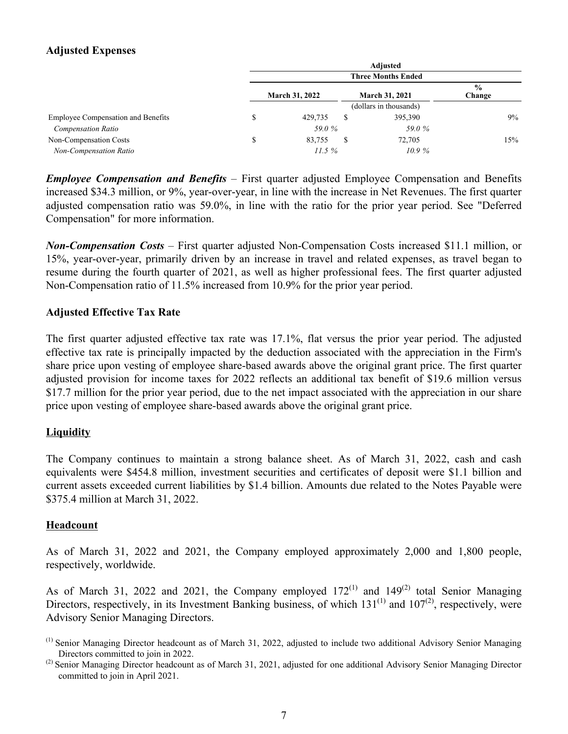## **Adjusted Expenses**

|                                                | Adjusted                                       |                           |                         |  |  |  |  |
|------------------------------------------------|------------------------------------------------|---------------------------|-------------------------|--|--|--|--|
|                                                |                                                | <b>Three Months Ended</b> |                         |  |  |  |  |
|                                                | <b>March 31, 2022</b><br><b>March 31, 2021</b> |                           | $\frac{0}{0}$<br>Change |  |  |  |  |
|                                                |                                                | (dollars in thousands)    |                         |  |  |  |  |
| <b>Employee Compensation and Benefits</b><br>J | 429.735                                        | 395,390<br>S              | $9\%$                   |  |  |  |  |
| <b>Compensation Ratio</b>                      | 59.0%                                          | 59.0%                     |                         |  |  |  |  |
| Non-Compensation Costs<br>\$                   | 83.755                                         | 72,705<br>S               | 15%                     |  |  |  |  |
| Non-Compensation Ratio                         | 11.5%                                          | 10.9%                     |                         |  |  |  |  |

*Employee Compensation and Benefits –* First quarter adjusted Employee Compensation and Benefits increased \$34.3 million, or 9%, year-over-year, in line with the increase in Net Revenues. The first quarter adjusted compensation ratio was 59.0%, in line with the ratio for the prior year period. See "Deferred Compensation" for more information.

*Non-Compensation Costs –* First quarter adjusted Non-Compensation Costs increased \$11.1 million, or 15%, year-over-year, primarily driven by an increase in travel and related expenses, as travel began to resume during the fourth quarter of 2021, as well as higher professional fees. The first quarter adjusted Non-Compensation ratio of 11.5% increased from 10.9% for the prior year period.

## **Adjusted Effective Tax Rate**

The first quarter adjusted effective tax rate was 17.1%, flat versus the prior year period. The adjusted effective tax rate is principally impacted by the deduction associated with the appreciation in the Firm's share price upon vesting of employee share-based awards above the original grant price. The first quarter adjusted provision for income taxes for 2022 reflects an additional tax benefit of \$19.6 million versus \$17.7 million for the prior year period, due to the net impact associated with the appreciation in our share price upon vesting of employee share-based awards above the original grant price.

## **Liquidity**

The Company continues to maintain a strong balance sheet. As of March 31, 2022, cash and cash equivalents were \$454.8 million, investment securities and certificates of deposit were \$1.1 billion and current assets exceeded current liabilities by \$1.4 billion. Amounts due related to the Notes Payable were \$375.4 million at March 31, 2022.

## **Headcount**

As of March 31, 2022 and 2021, the Company employed approximately 2,000 and 1,800 people, respectively, worldwide.

As of March 31, 2022 and 2021, the Company employed  $172^{(1)}$  and  $149^{(2)}$  total Senior Managing Directors, respectively, in its Investment Banking business, of which  $131^{(1)}$  and  $107^{(2)}$ , respectively, were Advisory Senior Managing Directors.

<sup>(1)</sup> Senior Managing Director headcount as of March 31, 2022, adjusted to include two additional Advisory Senior Managing Directors committed to join in 2022.

 $^{(2)}$  Senior Managing Director headcount as of March 31, 2021, adjusted for one additional Advisory Senior Managing Director committed to join in April 2021.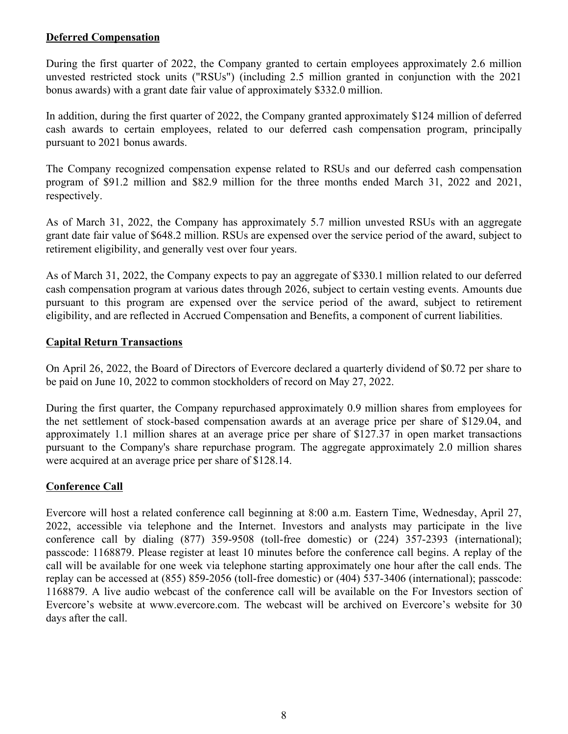## **Deferred Compensation**

During the first quarter of 2022, the Company granted to certain employees approximately 2.6 million unvested restricted stock units ("RSUs") (including 2.5 million granted in conjunction with the 2021 bonus awards) with a grant date fair value of approximately \$332.0 million.

In addition, during the first quarter of 2022, the Company granted approximately \$124 million of deferred cash awards to certain employees, related to our deferred cash compensation program, principally pursuant to 2021 bonus awards.

The Company recognized compensation expense related to RSUs and our deferred cash compensation program of \$91.2 million and \$82.9 million for the three months ended March 31, 2022 and 2021, respectively.

As of March 31, 2022, the Company has approximately 5.7 million unvested RSUs with an aggregate grant date fair value of \$648.2 million. RSUs are expensed over the service period of the award, subject to retirement eligibility, and generally vest over four years.

As of March 31, 2022, the Company expects to pay an aggregate of \$330.1 million related to our deferred cash compensation program at various dates through 2026, subject to certain vesting events. Amounts due pursuant to this program are expensed over the service period of the award, subject to retirement eligibility, and are reflected in Accrued Compensation and Benefits, a component of current liabilities.

## **Capital Return Transactions**

On April 26, 2022, the Board of Directors of Evercore declared a quarterly dividend of \$0.72 per share to be paid on June 10, 2022 to common stockholders of record on May 27, 2022.

During the first quarter, the Company repurchased approximately 0.9 million shares from employees for the net settlement of stock-based compensation awards at an average price per share of \$129.04, and approximately 1.1 million shares at an average price per share of \$127.37 in open market transactions pursuant to the Company's share repurchase program. The aggregate approximately 2.0 million shares were acquired at an average price per share of \$128.14.

## **Conference Call**

Evercore will host a related conference call beginning at 8:00 a.m. Eastern Time, Wednesday, April 27, 2022, accessible via telephone and the Internet. Investors and analysts may participate in the live conference call by dialing (877) 359-9508 (toll-free domestic) or (224) 357-2393 (international); passcode: 1168879. Please register at least 10 minutes before the conference call begins. A replay of the call will be available for one week via telephone starting approximately one hour after the call ends. The replay can be accessed at (855) 859-2056 (toll-free domestic) or (404) 537-3406 (international); passcode: 1168879. A live audio webcast of the conference call will be available on the For Investors section of Evercore's website at www.evercore.com. The webcast will be archived on Evercore's website for 30 days after the call.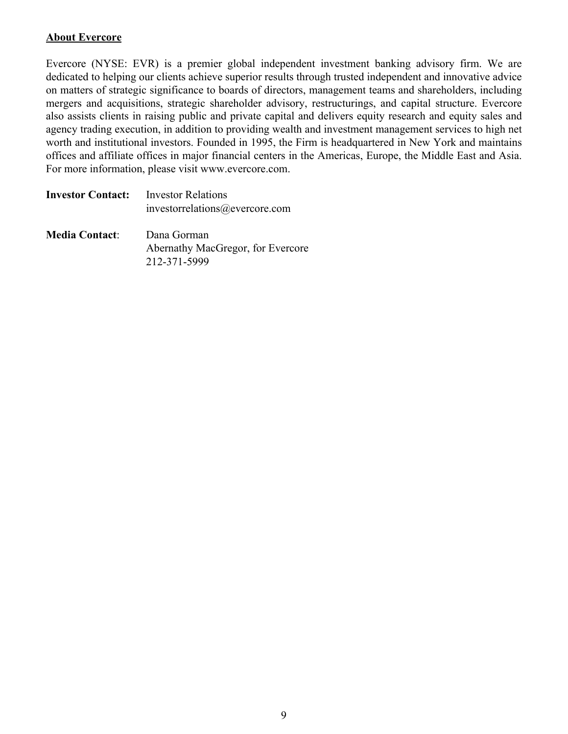### **About Evercore**

Evercore (NYSE: EVR) is a premier global independent investment banking advisory firm. We are dedicated to helping our clients achieve superior results through trusted independent and innovative advice on matters of strategic significance to boards of directors, management teams and shareholders, including mergers and acquisitions, strategic shareholder advisory, restructurings, and capital structure. Evercore also assists clients in raising public and private capital and delivers equity research and equity sales and agency trading execution, in addition to providing wealth and investment management services to high net worth and institutional investors. Founded in 1995, the Firm is headquartered in New York and maintains offices and affiliate offices in major financial centers in the Americas, Europe, the Middle East and Asia. For more information, please visit www.evercore.com.

| <b>Investor Contact:</b> | Investor Relations<br>investorrelations@evercore.com |
|--------------------------|------------------------------------------------------|
| <b>Media Contact:</b>    | Dana Gorman<br>Abernathy MacGregor, for Evercore     |
|                          | 212-371-5999                                         |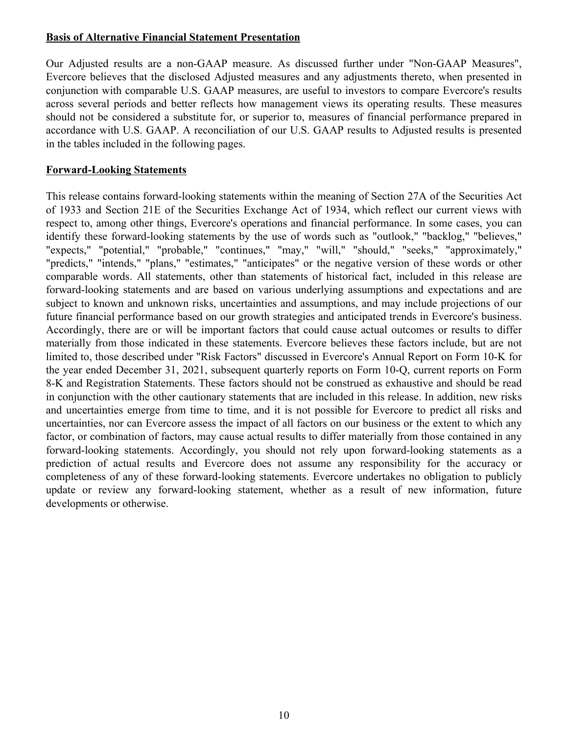#### **Basis of Alternative Financial Statement Presentation**

Our Adjusted results are a non-GAAP measure. As discussed further under "Non-GAAP Measures", Evercore believes that the disclosed Adjusted measures and any adjustments thereto, when presented in conjunction with comparable U.S. GAAP measures, are useful to investors to compare Evercore's results across several periods and better reflects how management views its operating results. These measures should not be considered a substitute for, or superior to, measures of financial performance prepared in accordance with U.S. GAAP. A reconciliation of our U.S. GAAP results to Adjusted results is presented in the tables included in the following pages.

#### **Forward-Looking Statements**

This release contains forward-looking statements within the meaning of Section 27A of the Securities Act of 1933 and Section 21E of the Securities Exchange Act of 1934, which reflect our current views with respect to, among other things, Evercore's operations and financial performance. In some cases, you can identify these forward-looking statements by the use of words such as "outlook," "backlog," "believes," "expects," "potential," "probable," "continues," "may," "will," "should," "seeks," "approximately," "predicts," "intends," "plans," "estimates," "anticipates" or the negative version of these words or other comparable words. All statements, other than statements of historical fact, included in this release are forward-looking statements and are based on various underlying assumptions and expectations and are subject to known and unknown risks, uncertainties and assumptions, and may include projections of our future financial performance based on our growth strategies and anticipated trends in Evercore's business. Accordingly, there are or will be important factors that could cause actual outcomes or results to differ materially from those indicated in these statements. Evercore believes these factors include, but are not limited to, those described under "Risk Factors" discussed in Evercore's Annual Report on Form 10-K for the year ended December 31, 2021, subsequent quarterly reports on Form 10-Q, current reports on Form 8-K and Registration Statements. These factors should not be construed as exhaustive and should be read in conjunction with the other cautionary statements that are included in this release. In addition, new risks and uncertainties emerge from time to time, and it is not possible for Evercore to predict all risks and uncertainties, nor can Evercore assess the impact of all factors on our business or the extent to which any factor, or combination of factors, may cause actual results to differ materially from those contained in any forward-looking statements. Accordingly, you should not rely upon forward-looking statements as a prediction of actual results and Evercore does not assume any responsibility for the accuracy or completeness of any of these forward-looking statements. Evercore undertakes no obligation to publicly update or review any forward-looking statement, whether as a result of new information, future developments or otherwise.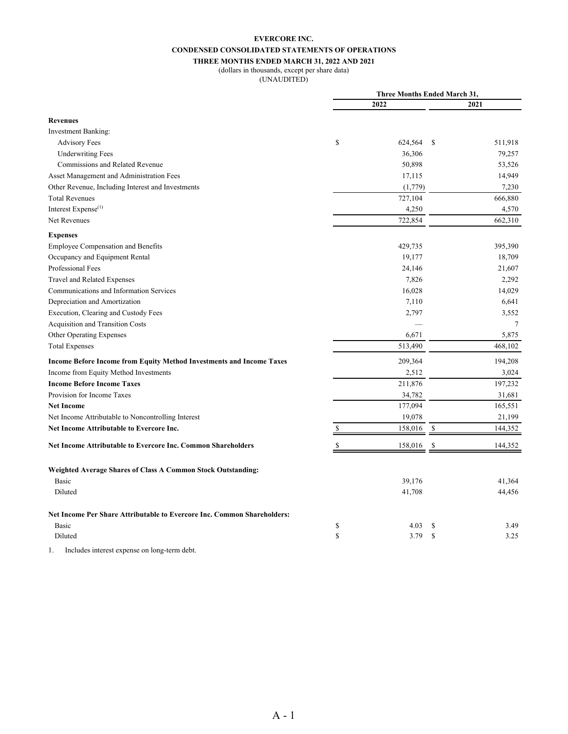#### **EVERCORE INC. CONDENSED CONSOLIDATED STATEMENTS OF OPERATIONS THREE MONTHS ENDED MARCH 31, 2022 AND 2021**

#### (dollars in thousands, except per share data)

(UNAUDITED)

|                                                                                                                                                                                                      | <b>Three Months Ended March 31,</b> |         |               |         |
|------------------------------------------------------------------------------------------------------------------------------------------------------------------------------------------------------|-------------------------------------|---------|---------------|---------|
|                                                                                                                                                                                                      |                                     | 2022    |               | 2021    |
| <b>Revenues</b>                                                                                                                                                                                      |                                     |         |               |         |
| <b>Investment Banking:</b>                                                                                                                                                                           |                                     |         |               |         |
| <b>Advisory Fees</b>                                                                                                                                                                                 | \$                                  | 624,564 | <sup>\$</sup> | 511,918 |
| <b>Underwriting Fees</b>                                                                                                                                                                             |                                     | 36,306  |               | 79,257  |
| Commissions and Related Revenue                                                                                                                                                                      |                                     | 50,898  |               | 53,526  |
| Asset Management and Administration Fees                                                                                                                                                             |                                     | 17,115  |               | 14,949  |
| Other Revenue, Including Interest and Investments                                                                                                                                                    |                                     | (1,779) |               | 7,230   |
| <b>Total Revenues</b>                                                                                                                                                                                |                                     | 727,104 |               | 666,880 |
| Interest Expense <sup>(1)</sup>                                                                                                                                                                      |                                     | 4,250   |               | 4,570   |
| Net Revenues                                                                                                                                                                                         |                                     | 722,854 |               | 662,310 |
| <b>Expenses</b>                                                                                                                                                                                      |                                     |         |               |         |
| Employee Compensation and Benefits                                                                                                                                                                   |                                     | 429,735 |               | 395,390 |
| Occupancy and Equipment Rental                                                                                                                                                                       |                                     | 19,177  |               | 18,709  |
| Professional Fees                                                                                                                                                                                    |                                     | 24,146  |               | 21,607  |
| Travel and Related Expenses                                                                                                                                                                          |                                     | 7,826   |               | 2,292   |
| Communications and Information Services                                                                                                                                                              |                                     | 16,028  |               | 14,029  |
| Depreciation and Amortization                                                                                                                                                                        |                                     | 7,110   |               | 6,641   |
| Execution, Clearing and Custody Fees                                                                                                                                                                 |                                     | 2,797   |               | 3,552   |
| Acquisition and Transition Costs                                                                                                                                                                     |                                     |         |               | 7       |
| Other Operating Expenses                                                                                                                                                                             |                                     | 6,671   |               | 5,875   |
| <b>Total Expenses</b>                                                                                                                                                                                |                                     | 513,490 |               | 468,102 |
| Income Before Income from Equity Method Investments and Income Taxes                                                                                                                                 |                                     | 209,364 |               | 194,208 |
| Income from Equity Method Investments                                                                                                                                                                |                                     | 2,512   |               | 3,024   |
| <b>Income Before Income Taxes</b>                                                                                                                                                                    |                                     | 211,876 |               | 197,232 |
| Provision for Income Taxes                                                                                                                                                                           |                                     | 34,782  |               | 31,681  |
| <b>Net Income</b>                                                                                                                                                                                    |                                     | 177,094 |               | 165,551 |
| Net Income Attributable to Noncontrolling Interest                                                                                                                                                   |                                     | 19,078  |               | 21,199  |
| Net Income Attributable to Evercore Inc.                                                                                                                                                             | \$                                  | 158,016 | \$            | 144,352 |
| Net Income Attributable to Evercore Inc. Common Shareholders                                                                                                                                         |                                     | 158,016 | \$            | 144,352 |
| <b>Weighted Average Shares of Class A Common Stock Outstanding:</b>                                                                                                                                  |                                     |         |               |         |
| <b>Basic</b>                                                                                                                                                                                         |                                     | 39,176  |               | 41,364  |
| Diluted                                                                                                                                                                                              |                                     | 41,708  |               | 44,456  |
| Net Income Per Share Attributable to Evercore Inc. Common Shareholders:                                                                                                                              |                                     |         |               |         |
| Basic                                                                                                                                                                                                | \$                                  | 4.03    | S             | 3.49    |
| Diluted                                                                                                                                                                                              | \$                                  | 3.79    | $\mathbf S$   | 3.25    |
| $\mathbf{r}$ and $\mathbf{r}$ and $\mathbf{r}$ and $\mathbf{r}$<br>$\sim$ 1. $\sim$ 1. $\sim$ 1. $\sim$ 1. $\sim$ 1. $\sim$ 1. $\sim$ 1. $\sim$ 1. $\sim$ 1. $\sim$ 1. $\sim$ 1. $\sim$ 1. $\sim$ 1. |                                     |         |               |         |

1. Includes interest expense on long-term debt.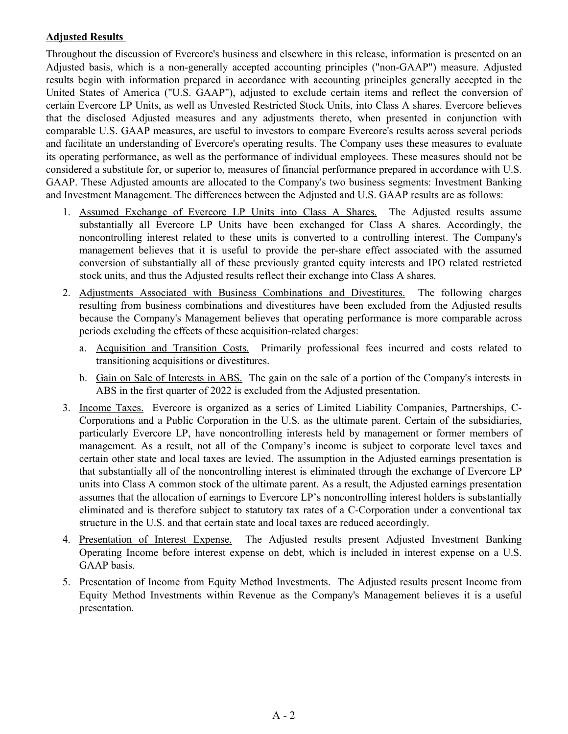#### **Adjusted Results**

Throughout the discussion of Evercore's business and elsewhere in this release, information is presented on an Adjusted basis, which is a non-generally accepted accounting principles ("non-GAAP") measure. Adjusted results begin with information prepared in accordance with accounting principles generally accepted in the United States of America ("U.S. GAAP"), adjusted to exclude certain items and reflect the conversion of certain Evercore LP Units, as well as Unvested Restricted Stock Units, into Class A shares. Evercore believes that the disclosed Adjusted measures and any adjustments thereto, when presented in conjunction with comparable U.S. GAAP measures, are useful to investors to compare Evercore's results across several periods and facilitate an understanding of Evercore's operating results. The Company uses these measures to evaluate its operating performance, as well as the performance of individual employees. These measures should not be considered a substitute for, or superior to, measures of financial performance prepared in accordance with U.S. GAAP. These Adjusted amounts are allocated to the Company's two business segments: Investment Banking and Investment Management. The differences between the Adjusted and U.S. GAAP results are as follows:

- 1. Assumed Exchange of Evercore LP Units into Class A Shares. The Adjusted results assume substantially all Evercore LP Units have been exchanged for Class A shares. Accordingly, the noncontrolling interest related to these units is converted to a controlling interest. The Company's management believes that it is useful to provide the per-share effect associated with the assumed conversion of substantially all of these previously granted equity interests and IPO related restricted stock units, and thus the Adjusted results reflect their exchange into Class A shares.
- 2. Adjustments Associated with Business Combinations and Divestitures. The following charges resulting from business combinations and divestitures have been excluded from the Adjusted results because the Company's Management believes that operating performance is more comparable across periods excluding the effects of these acquisition-related charges:
	- a. Acquisition and Transition Costs. Primarily professional fees incurred and costs related to transitioning acquisitions or divestitures.
	- b. Gain on Sale of Interests in ABS. The gain on the sale of a portion of the Company's interests in ABS in the first quarter of 2022 is excluded from the Adjusted presentation.
- 3. Income Taxes. Evercore is organized as a series of Limited Liability Companies, Partnerships, C-Corporations and a Public Corporation in the U.S. as the ultimate parent. Certain of the subsidiaries, particularly Evercore LP, have noncontrolling interests held by management or former members of management. As a result, not all of the Company's income is subject to corporate level taxes and certain other state and local taxes are levied. The assumption in the Adjusted earnings presentation is that substantially all of the noncontrolling interest is eliminated through the exchange of Evercore LP units into Class A common stock of the ultimate parent. As a result, the Adjusted earnings presentation assumes that the allocation of earnings to Evercore LP's noncontrolling interest holders is substantially eliminated and is therefore subject to statutory tax rates of a C-Corporation under a conventional tax structure in the U.S. and that certain state and local taxes are reduced accordingly.
- 4. Presentation of Interest Expense. The Adjusted results present Adjusted Investment Banking Operating Income before interest expense on debt, which is included in interest expense on a U.S. GAAP basis.
- 5. Presentation of Income from Equity Method Investments. The Adjusted results present Income from Equity Method Investments within Revenue as the Company's Management believes it is a useful presentation.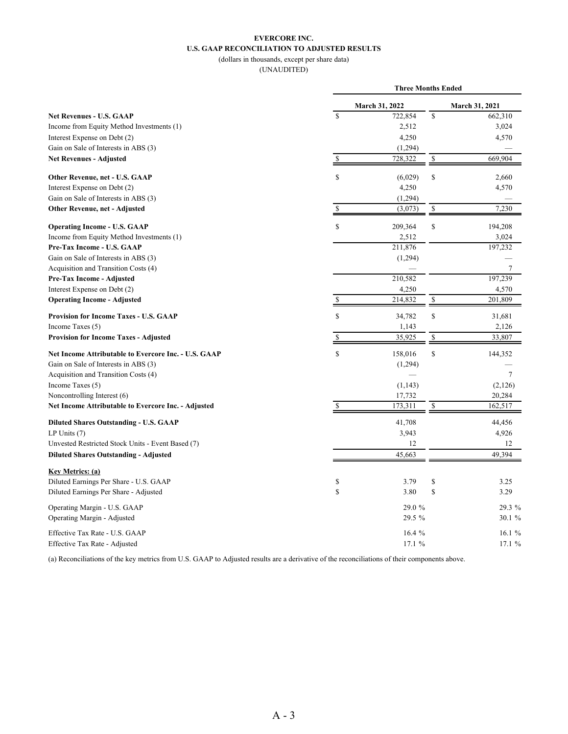#### **EVERCORE INC. U.S. GAAP RECONCILIATION TO ADJUSTED RESULTS** (dollars in thousands, except per share data)

(UNAUDITED)

|                                                      |                         | <b>Three Months Ended</b> |                         |                |  |  |
|------------------------------------------------------|-------------------------|---------------------------|-------------------------|----------------|--|--|
|                                                      |                         | March 31, 2022            |                         | March 31, 2021 |  |  |
| <b>Net Revenues - U.S. GAAP</b>                      | $\overline{\mathbf{s}}$ | 722,854                   | $\overline{\mathbb{S}}$ | 662,310        |  |  |
| Income from Equity Method Investments (1)            |                         | 2,512                     |                         | 3,024          |  |  |
| Interest Expense on Debt (2)                         |                         | 4,250                     |                         | 4,570          |  |  |
| Gain on Sale of Interests in ABS (3)                 |                         | (1,294)                   |                         |                |  |  |
| <b>Net Revenues - Adjusted</b>                       | \$                      | 728,322                   | \$                      | 669,904        |  |  |
| Other Revenue, net - U.S. GAAP                       | \$                      | (6,029)                   | \$                      | 2,660          |  |  |
| Interest Expense on Debt (2)                         |                         | 4,250                     |                         | 4,570          |  |  |
| Gain on Sale of Interests in ABS (3)                 |                         | (1,294)                   |                         |                |  |  |
| Other Revenue, net - Adjusted                        | \$                      | (3,073)                   | \$                      | 7,230          |  |  |
| <b>Operating Income - U.S. GAAP</b>                  | S                       | 209,364                   | \$                      | 194,208        |  |  |
| Income from Equity Method Investments (1)            |                         | 2,512                     |                         | 3,024          |  |  |
| Pre-Tax Income - U.S. GAAP                           |                         | 211,876                   |                         | 197,232        |  |  |
| Gain on Sale of Interests in ABS (3)                 |                         | (1,294)                   |                         |                |  |  |
| Acquisition and Transition Costs (4)                 |                         |                           |                         | $\tau$         |  |  |
| Pre-Tax Income - Adjusted                            |                         | 210,582                   |                         | 197,239        |  |  |
| Interest Expense on Debt (2)                         |                         | 4,250                     |                         | 4,570          |  |  |
| <b>Operating Income - Adjusted</b>                   | \$                      | 214,832                   | \$                      | 201,809        |  |  |
| <b>Provision for Income Taxes - U.S. GAAP</b>        | $\mathbf S$             | 34,782                    | $\mathbb{S}$            | 31,681         |  |  |
| Income Taxes (5)                                     |                         | 1,143                     |                         | 2,126          |  |  |
| <b>Provision for Income Taxes - Adjusted</b>         |                         | 35,925                    | \$                      | 33,807         |  |  |
| Net Income Attributable to Evercore Inc. - U.S. GAAP | \$                      | 158,016                   | \$                      | 144,352        |  |  |
| Gain on Sale of Interests in ABS (3)                 |                         | (1,294)                   |                         |                |  |  |
| Acquisition and Transition Costs (4)                 |                         |                           |                         | $\tau$         |  |  |
| Income Taxes (5)                                     |                         | (1, 143)                  |                         | (2,126)        |  |  |
| Noncontrolling Interest (6)                          |                         | 17,732                    |                         | 20,284         |  |  |
| Net Income Attributable to Evercore Inc. - Adjusted  |                         | 173,311                   | \$                      | 162,517        |  |  |
| <b>Diluted Shares Outstanding - U.S. GAAP</b>        |                         | 41,708                    |                         | 44,456         |  |  |
| LP Units $(7)$                                       |                         | 3,943                     |                         | 4,926          |  |  |
| Unvested Restricted Stock Units - Event Based (7)    |                         | 12                        |                         | 12             |  |  |
| <b>Diluted Shares Outstanding - Adjusted</b>         |                         | 45,663                    |                         | 49,394         |  |  |
| <b>Key Metrics: (a)</b>                              |                         |                           |                         |                |  |  |
| Diluted Earnings Per Share - U.S. GAAP               | \$                      | 3.79                      | \$                      | 3.25           |  |  |
| Diluted Earnings Per Share - Adjusted                | \$                      | 3.80                      | \$                      | 3.29           |  |  |
| Operating Margin - U.S. GAAP                         |                         | 29.0 %                    |                         | 29.3 %         |  |  |
| Operating Margin - Adjusted                          |                         | 29.5 %                    |                         | 30.1 %         |  |  |
| Effective Tax Rate - U.S. GAAP                       |                         | 16.4%                     |                         | 16.1 $%$       |  |  |
| Effective Tax Rate - Adjusted                        |                         | 17.1 %                    |                         | 17.1 %         |  |  |

(a) Reconciliations of the key metrics from U.S. GAAP to Adjusted results are a derivative of the reconciliations of their components above.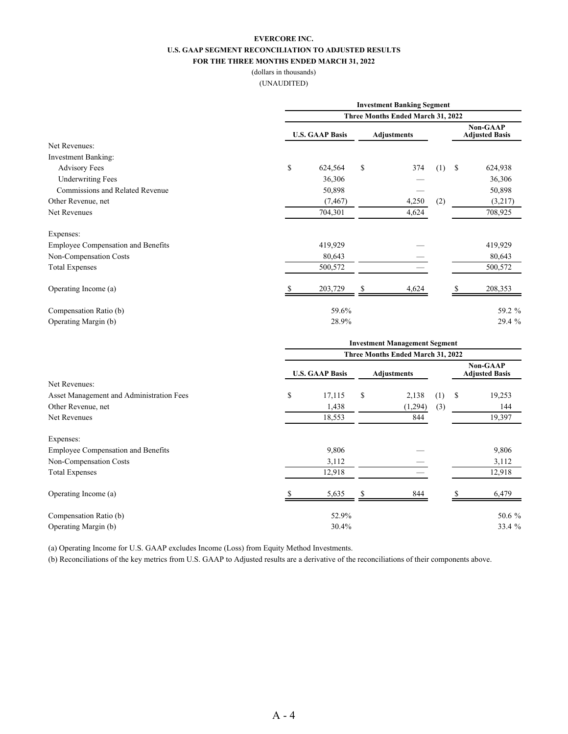#### **EVERCORE INC. U.S. GAAP SEGMENT RECONCILIATION TO ADJUSTED RESULTS FOR THE THREE MONTHS ENDED MARCH 31, 2022**

#### (dollars in thousands) (UNAUDITED)

|                                           |                                      | <b>Investment Banking Segment</b>                                                                           |    |                                   |     |               |                                          |  |
|-------------------------------------------|--------------------------------------|-------------------------------------------------------------------------------------------------------------|----|-----------------------------------|-----|---------------|------------------------------------------|--|
|                                           | Three Months Ended March 31, 2022    |                                                                                                             |    |                                   |     |               |                                          |  |
|                                           |                                      | <b>U.S. GAAP Basis</b>                                                                                      |    | <b>Adjustments</b>                |     |               | <b>Non-GAAP</b><br><b>Adjusted Basis</b> |  |
| Net Revenues:                             |                                      |                                                                                                             |    |                                   |     |               |                                          |  |
| <b>Investment Banking:</b>                |                                      |                                                                                                             |    |                                   |     |               |                                          |  |
| <b>Advisory Fees</b>                      | \$                                   | 624,564                                                                                                     | \$ | 374                               | (1) | <sup>\$</sup> | 624,938                                  |  |
| <b>Underwriting Fees</b>                  |                                      | 36,306                                                                                                      |    |                                   |     |               | 36,306                                   |  |
| Commissions and Related Revenue           |                                      | 50,898                                                                                                      |    |                                   |     |               | 50,898                                   |  |
| Other Revenue, net                        |                                      | (7, 467)                                                                                                    |    | 4,250                             | (2) |               | (3,217)                                  |  |
| Net Revenues                              |                                      | 704,301                                                                                                     |    | 4,624                             |     |               | 708,925                                  |  |
| Expenses:                                 |                                      |                                                                                                             |    |                                   |     |               |                                          |  |
| <b>Employee Compensation and Benefits</b> |                                      | 419,929                                                                                                     |    |                                   |     |               | 419,929                                  |  |
| Non-Compensation Costs                    |                                      | 80,643                                                                                                      |    |                                   |     |               | 80,643                                   |  |
| <b>Total Expenses</b>                     |                                      | 500,572                                                                                                     |    |                                   |     |               | 500,572                                  |  |
| Operating Income (a)                      |                                      | 203,729                                                                                                     |    | 4,624                             |     |               | 208,353                                  |  |
| Compensation Ratio (b)                    |                                      | 59.6%                                                                                                       |    |                                   |     |               | 59.2 %                                   |  |
| Operating Margin (b)                      |                                      | 28.9%                                                                                                       |    |                                   |     |               | 29.4 %                                   |  |
|                                           | <b>Investment Management Segment</b> |                                                                                                             |    |                                   |     |               |                                          |  |
|                                           |                                      |                                                                                                             |    | Three Months Ended March 31, 2022 |     |               |                                          |  |
|                                           |                                      | $\mathbf{H} \in \mathbb{C}$ $\mathbf{A} \mathbf{A} \mathbf{D} \mathbf{D}_{\alpha \alpha \mathbf{i} \alpha}$ |    | Adiustmants                       |     |               | <b>Non-GAAP</b><br>Adjusted Desis        |  |

|                                           | <b>U.S. GAAP Basis</b> |        | <b>Adjustments</b> |         |     |    | .<br><b>Adjusted Basis</b> |
|-------------------------------------------|------------------------|--------|--------------------|---------|-----|----|----------------------------|
| Net Revenues:                             |                        |        |                    |         |     |    |                            |
| Asset Management and Administration Fees  | \$                     | 17,115 | \$                 | 2,138   | (1) | -S | 19,253                     |
| Other Revenue, net                        |                        | 1,438  |                    | (1,294) | (3) |    | 144                        |
| Net Revenues                              |                        | 18,553 |                    | 844     |     |    | 19,397                     |
| Expenses:                                 |                        |        |                    |         |     |    |                            |
| <b>Employee Compensation and Benefits</b> |                        | 9,806  |                    |         |     |    | 9,806                      |
| Non-Compensation Costs                    |                        | 3,112  |                    |         |     |    | 3,112                      |
| <b>Total Expenses</b>                     |                        | 12,918 |                    |         |     |    | 12,918                     |
| Operating Income (a)                      |                        | 5,635  |                    | 844     |     |    | 6,479                      |
| Compensation Ratio (b)                    |                        | 52.9%  |                    |         |     |    | 50.6 %                     |
| Operating Margin (b)                      |                        | 30.4%  |                    |         |     |    | 33.4 %                     |

(a) Operating Income for U.S. GAAP excludes Income (Loss) from Equity Method Investments.

(b) Reconciliations of the key metrics from U.S. GAAP to Adjusted results are a derivative of the reconciliations of their components above.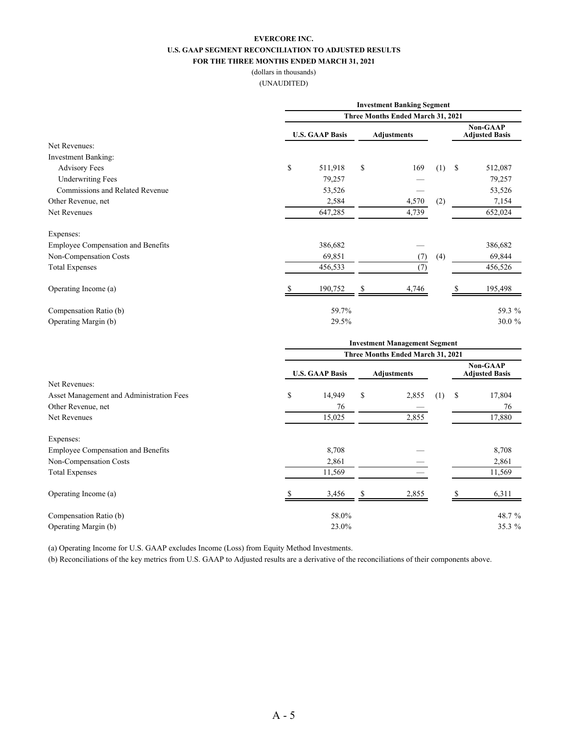#### **EVERCORE INC. U.S. GAAP SEGMENT RECONCILIATION TO ADJUSTED RESULTS FOR THE THREE MONTHS ENDED MARCH 31, 2021**

#### (dollars in thousands) (UNAUDITED)

|                                           |                                   | <b>Investment Banking Segment</b> |    |                                      |     |    |                                   |  |  |  |
|-------------------------------------------|-----------------------------------|-----------------------------------|----|--------------------------------------|-----|----|-----------------------------------|--|--|--|
|                                           | Three Months Ended March 31, 2021 |                                   |    |                                      |     |    |                                   |  |  |  |
|                                           |                                   | <b>U.S. GAAP Basis</b>            |    | <b>Adjustments</b>                   |     |    | Non-GAAP<br><b>Adjusted Basis</b> |  |  |  |
| Net Revenues:                             |                                   |                                   |    |                                      |     |    |                                   |  |  |  |
| <b>Investment Banking:</b>                |                                   |                                   |    |                                      |     |    |                                   |  |  |  |
| <b>Advisory Fees</b>                      | \$                                | 511,918                           | \$ | 169                                  | (1) | \$ | 512,087                           |  |  |  |
| <b>Underwriting Fees</b>                  |                                   | 79,257                            |    |                                      |     |    | 79,257                            |  |  |  |
| Commissions and Related Revenue           |                                   | 53,526                            |    |                                      |     |    | 53,526                            |  |  |  |
| Other Revenue, net                        |                                   | 2,584                             |    | 4,570                                | (2) |    | 7,154                             |  |  |  |
| Net Revenues                              |                                   | 647,285                           |    | 4,739                                |     |    | 652,024                           |  |  |  |
| Expenses:                                 |                                   |                                   |    |                                      |     |    |                                   |  |  |  |
| <b>Employee Compensation and Benefits</b> |                                   | 386,682                           |    |                                      |     |    | 386,682                           |  |  |  |
| Non-Compensation Costs                    |                                   | 69,851                            |    | (7)                                  | (4) |    | 69,844                            |  |  |  |
| <b>Total Expenses</b>                     |                                   | 456,533                           |    | (7)                                  |     |    | 456,526                           |  |  |  |
| Operating Income (a)                      |                                   | 190,752                           | S  | 4,746                                |     |    | 195,498                           |  |  |  |
| Compensation Ratio (b)                    |                                   | 59.7%                             |    |                                      |     |    | 59.3 %                            |  |  |  |
| Operating Margin (b)                      |                                   | 29.5%                             |    |                                      |     |    | 30.0 %                            |  |  |  |
|                                           |                                   |                                   |    | <b>Investment Management Segment</b> |     |    |                                   |  |  |  |

|                                           | Three Months Ended March 31, 2021 |                    |    |                                          |     |    |        |  |
|-------------------------------------------|-----------------------------------|--------------------|----|------------------------------------------|-----|----|--------|--|
|                                           | <b>U.S. GAAP Basis</b>            | <b>Adjustments</b> |    | <b>Non-GAAP</b><br><b>Adjusted Basis</b> |     |    |        |  |
| Net Revenues:                             |                                   |                    |    |                                          |     |    |        |  |
| Asset Management and Administration Fees  | \$                                | 14,949             | \$ | 2,855                                    | (1) | \$ | 17,804 |  |
| Other Revenue, net                        |                                   | 76                 |    |                                          |     |    | 76     |  |
| Net Revenues                              |                                   | 15,025             |    | 2,855                                    |     |    | 17,880 |  |
| Expenses:                                 |                                   |                    |    |                                          |     |    |        |  |
| <b>Employee Compensation and Benefits</b> |                                   | 8,708              |    |                                          |     |    | 8,708  |  |
| Non-Compensation Costs                    |                                   | 2,861              |    |                                          |     |    | 2,861  |  |
| <b>Total Expenses</b>                     |                                   | 11,569             |    |                                          |     |    | 11,569 |  |
| Operating Income (a)                      |                                   | 3,456              |    | 2,855                                    |     |    | 6,311  |  |
| Compensation Ratio (b)                    |                                   | 58.0%              |    |                                          |     |    | 48.7 % |  |
| Operating Margin (b)                      |                                   | 23.0%              |    |                                          |     |    | 35.3 % |  |

(a) Operating Income for U.S. GAAP excludes Income (Loss) from Equity Method Investments.

(b) Reconciliations of the key metrics from U.S. GAAP to Adjusted results are a derivative of the reconciliations of their components above.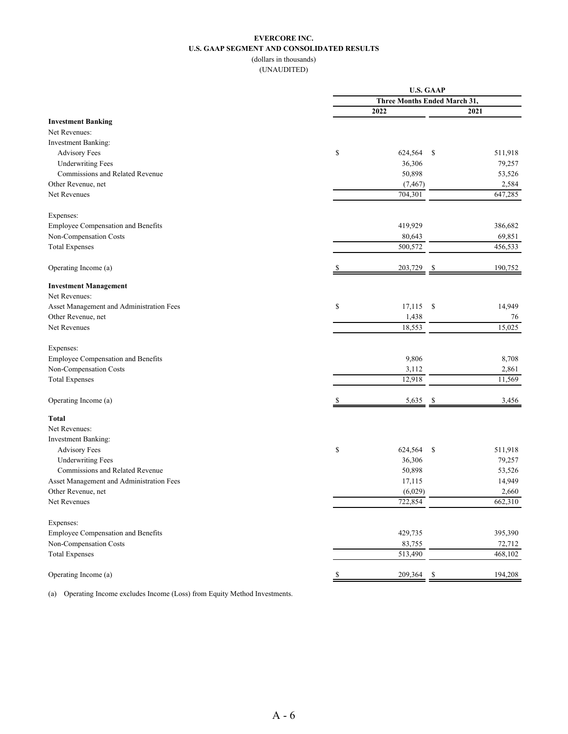#### **EVERCORE INC. U.S. GAAP SEGMENT AND CONSOLIDATED RESULTS** (dollars in thousands)

(UNAUDITED)

|                                          |    | <b>U.S. GAAP</b>             |         |  |  |  |  |  |
|------------------------------------------|----|------------------------------|---------|--|--|--|--|--|
|                                          |    | Three Months Ended March 31, |         |  |  |  |  |  |
|                                          |    | 2022                         | 2021    |  |  |  |  |  |
| <b>Investment Banking</b>                |    |                              |         |  |  |  |  |  |
| Net Revenues:                            |    |                              |         |  |  |  |  |  |
| Investment Banking:                      |    |                              |         |  |  |  |  |  |
| <b>Advisory Fees</b>                     | \$ | 624,564<br>\$                | 511,918 |  |  |  |  |  |
| <b>Underwriting Fees</b>                 |    | 36,306                       | 79,257  |  |  |  |  |  |
| Commissions and Related Revenue          |    | 50,898                       | 53,526  |  |  |  |  |  |
| Other Revenue, net                       |    | (7, 467)                     | 2,584   |  |  |  |  |  |
| Net Revenues                             |    | 704,301                      | 647,285 |  |  |  |  |  |
| Expenses:                                |    |                              |         |  |  |  |  |  |
| Employee Compensation and Benefits       |    | 419,929                      | 386,682 |  |  |  |  |  |
| Non-Compensation Costs                   |    | 80,643                       | 69,851  |  |  |  |  |  |
| <b>Total Expenses</b>                    |    | 500,572                      | 456,533 |  |  |  |  |  |
| Operating Income (a)                     |    | 203,729<br>S                 | 190,752 |  |  |  |  |  |
| <b>Investment Management</b>             |    |                              |         |  |  |  |  |  |
| Net Revenues:                            |    |                              |         |  |  |  |  |  |
| Asset Management and Administration Fees | \$ | $17,115$ \$                  | 14,949  |  |  |  |  |  |
| Other Revenue, net                       |    | 1,438                        | 76      |  |  |  |  |  |
| Net Revenues                             |    | 18,553                       | 15,025  |  |  |  |  |  |
| Expenses:                                |    |                              |         |  |  |  |  |  |
| Employee Compensation and Benefits       |    | 9,806                        | 8,708   |  |  |  |  |  |
| Non-Compensation Costs                   |    | 3,112                        | 2,861   |  |  |  |  |  |
|                                          |    | 12,918                       | 11,569  |  |  |  |  |  |
| <b>Total Expenses</b>                    |    |                              |         |  |  |  |  |  |
| Operating Income (a)                     |    | 5,635<br>-S                  | 3,456   |  |  |  |  |  |
| <b>Total</b>                             |    |                              |         |  |  |  |  |  |
| Net Revenues:                            |    |                              |         |  |  |  |  |  |
| Investment Banking:                      |    |                              |         |  |  |  |  |  |
| <b>Advisory Fees</b>                     | \$ | 624,564<br>\$                | 511,918 |  |  |  |  |  |
| <b>Underwriting Fees</b>                 |    | 36,306                       | 79,257  |  |  |  |  |  |
| Commissions and Related Revenue          |    | 50,898                       | 53,526  |  |  |  |  |  |
| Asset Management and Administration Fees |    | 17,115                       | 14,949  |  |  |  |  |  |
| Other Revenue, net                       |    | (6,029)                      | 2,660   |  |  |  |  |  |
| Net Revenues                             |    | 722,854                      | 662,310 |  |  |  |  |  |
| Expenses:                                |    |                              |         |  |  |  |  |  |
| Employee Compensation and Benefits       |    | 429,735                      | 395,390 |  |  |  |  |  |
| Non-Compensation Costs                   |    | 83,755                       | 72,712  |  |  |  |  |  |
| <b>Total Expenses</b>                    |    | 513,490                      | 468,102 |  |  |  |  |  |
| Operating Income (a)                     | \$ | 209,364<br>-S                | 194,208 |  |  |  |  |  |

(a) Operating Income excludes Income (Loss) from Equity Method Investments.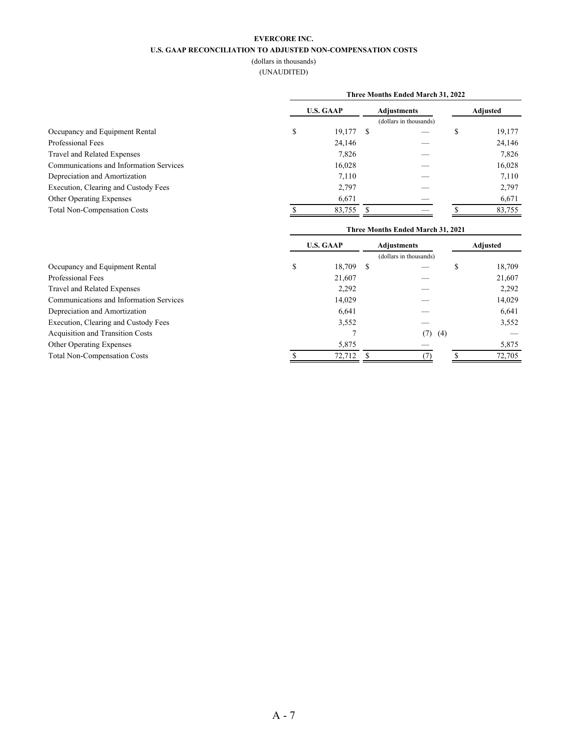#### **EVERCORE INC.**

#### **U.S. GAAP RECONCILIATION TO ADJUSTED NON-COMPENSATION COSTS**

(dollars in thousands)

(UNAUDITED)

|                                         | Three Months Ended March 31, 2022 |        |  |                        |  |          |  |  |  |
|-----------------------------------------|-----------------------------------|--------|--|------------------------|--|----------|--|--|--|
|                                         | <b>U.S. GAAP</b>                  |        |  | <b>Adjustments</b>     |  | Adjusted |  |  |  |
|                                         |                                   |        |  | (dollars in thousands) |  |          |  |  |  |
| Occupancy and Equipment Rental          | Ъ                                 | 19,177 |  |                        |  | 19,177   |  |  |  |
| Professional Fees                       |                                   | 24,146 |  |                        |  | 24,146   |  |  |  |
| Travel and Related Expenses             |                                   | 7,826  |  |                        |  | 7,826    |  |  |  |
| Communications and Information Services |                                   | 16,028 |  |                        |  | 16,028   |  |  |  |
| Depreciation and Amortization           |                                   | 7,110  |  |                        |  | 7,110    |  |  |  |
| Execution, Clearing and Custody Fees    |                                   | 2,797  |  |                        |  | 2,797    |  |  |  |
| <b>Other Operating Expenses</b>         |                                   | 6,671  |  |                        |  | 6,671    |  |  |  |
| <b>Total Non-Compensation Costs</b>     |                                   | 83,755 |  |                        |  | 83,755   |  |  |  |

| <b>U.S. GAAP</b> |        | <b>Adjustments</b> |     |                        | Adjusted |        |
|------------------|--------|--------------------|-----|------------------------|----------|--------|
|                  |        |                    |     |                        |          |        |
| \$               | 18,709 | -S                 |     |                        |          | 18,709 |
|                  | 21,607 |                    |     |                        |          | 21,607 |
|                  | 2,292  |                    |     |                        |          | 2,292  |
|                  | 14,029 |                    |     |                        |          | 14,029 |
|                  | 6,641  |                    |     |                        |          | 6,641  |
|                  | 3,552  |                    |     |                        |          | 3,552  |
|                  |        |                    | (7) |                        |          |        |
|                  | 5,875  |                    |     |                        |          | 5,875  |
|                  | 72,712 |                    |     |                        |          | 72,705 |
|                  |        |                    |     | (dollars in thousands) | (4)      |        |

**Three Months Ended March 31, 2021**